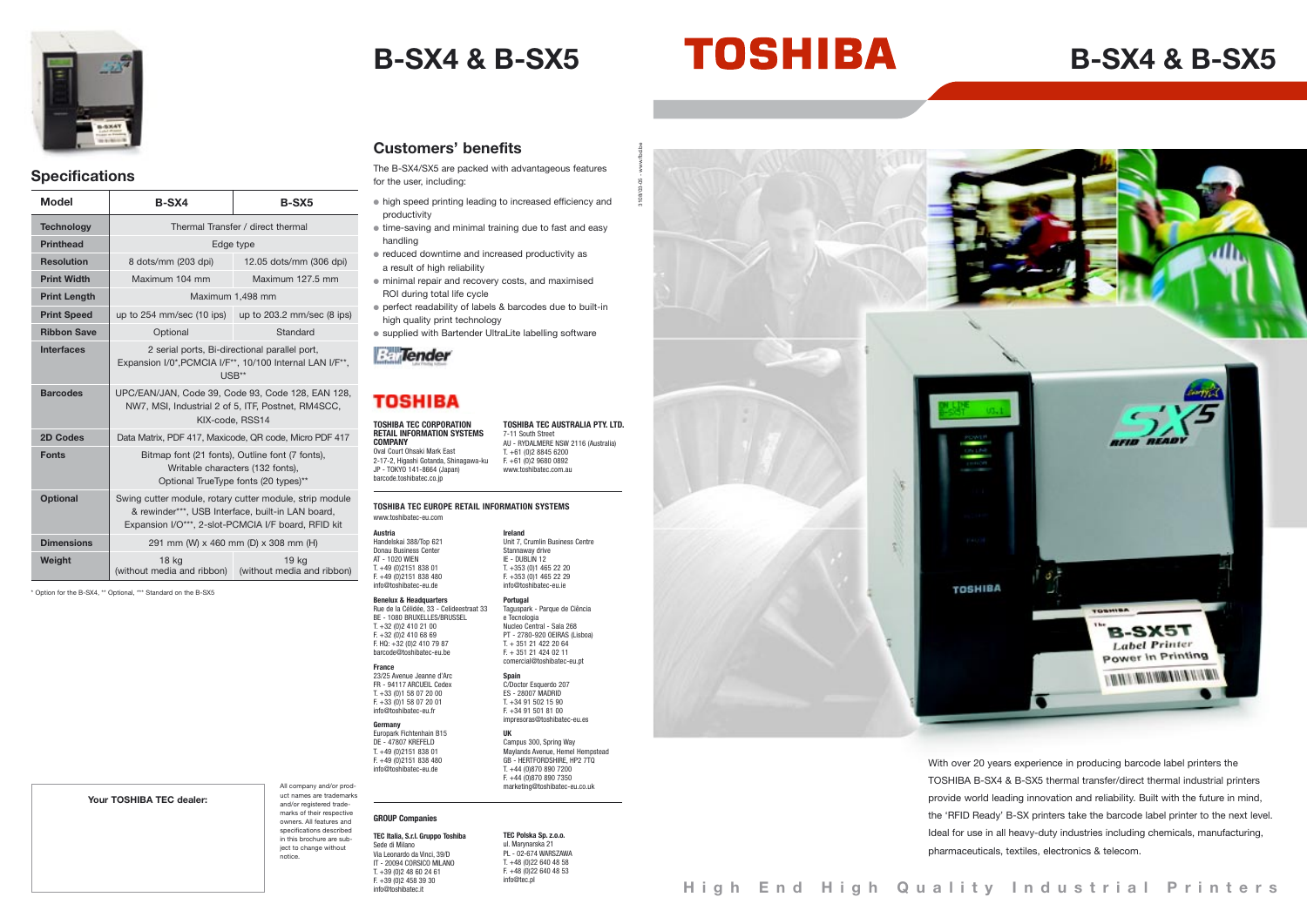# **B-SX4 & B-SX5 B-SX4 & B-SX5**

**Customers' benefits**

The B-SX4/SX5 are packed with advantageous features for the user, including:

- high speed printing leading to increased efficiency and productivity
- time-saving and minimal training due to fast and easy handling
- reduced downtime and increased productivity as a result of high reliability
- minimal repair and recovery costs, and maximised ROI during total life cycle
- perfect readability of labels & barcodes due to built-in high quality print technology
- supplied with Bartender UltraLite labelling software



## **TOSHIBA**

With over 20 years experience in producing barcode label printers the TOSHIBA B-SX4 & B-SX5 thermal transfer/direct thermal industrial printers provide world leading innovation and reliability. Built with the future in mind, the 'RFID Ready' B-SX printers take the barcode label printer to the next level. Ideal for use in all heavy-duty industries including chemicals, manufacturing, pharmaceuticals, textiles, electronics & telecom.



### **Specifications**

BE - 1080 BRUXELLES/BRUSSEL  $T + 32 (0)2 410 21 00$  $F + 32(0)24106869$ F. HQ: +32 (0)2 410 79 87 barcode@toshibatec-eu.be

Europark Fichtenhain B15 DE - 47807 KREFELD T. +49 (0)2151 838 01 F. +49 (0)2151 838 480 .<br>shibatec-eu de

e Tecnologia Nucleo Central - Sala 268 T. + 351 21 422 20 64  $F. + 351 21 424 02 11$ 

| <b>Model</b>        | B-SX4                                                                                                                                                               | <b>B-SX5</b>                                                             |  |
|---------------------|---------------------------------------------------------------------------------------------------------------------------------------------------------------------|--------------------------------------------------------------------------|--|
| <b>Technology</b>   | Thermal Transfer / direct thermal                                                                                                                                   |                                                                          |  |
| <b>Printhead</b>    | Edge type                                                                                                                                                           |                                                                          |  |
| <b>Resolution</b>   | 8 dots/mm (203 dpi)                                                                                                                                                 | 12.05 dots/mm (306 dpi)                                                  |  |
| <b>Print Width</b>  | Maximum 104 mm                                                                                                                                                      | Maximum 127.5 mm                                                         |  |
| <b>Print Length</b> | Maximum 1,498 mm                                                                                                                                                    |                                                                          |  |
| <b>Print Speed</b>  |                                                                                                                                                                     | up to 254 mm/sec $(10 \text{ ips})$ up to 203.2 mm/sec $(8 \text{ ips})$ |  |
| <b>Ribbon Save</b>  | Optional                                                                                                                                                            | Standard                                                                 |  |
| <b>Interfaces</b>   | 2 serial ports, Bi-directional parallel port,<br>Expansion I/0*, PCMCIA I/F**, 10/100 Internal LAN I/F**,<br>USB**                                                  |                                                                          |  |
| <b>Barcodes</b>     | UPC/EAN/JAN, Code 39, Code 93, Code 128, EAN 128,<br>NW7, MSI, Industrial 2 of 5, ITF, Postnet, RM4SCC,<br>KIX-code, RSS14                                          |                                                                          |  |
| 2D Codes            | Data Matrix, PDF 417, Maxicode, QR code, Micro PDF 417                                                                                                              |                                                                          |  |
| <b>Fonts</b>        | Bitmap font (21 fonts), Outline font (7 fonts),<br>Writable characters (132 fonts),<br>Optional TrueType fonts (20 types)**                                         |                                                                          |  |
| <b>Optional</b>     | Swing cutter module, rotary cutter module, strip module<br>& rewinder***, USB Interface, built-in LAN board,<br>Expansion I/O***, 2-slot-PCMCIA I/F board, RFID kit |                                                                          |  |
| <b>Dimensions</b>   | 291 mm (W) x 460 mm (D) x 308 mm (H)                                                                                                                                |                                                                          |  |
| Weight              | <b>18 kg</b><br>(without media and ribbon)                                                                                                                          | 19 ka<br>(without media and ribbon)                                      |  |

**Spain** C/Doctor Esquerdo 207 ES - 28007 MADRID

impresoras@toshibatec-eu.es

 $T + 44 (0)870 890 7200$  $F + 44$  (0)870 890 7350 marketing@toshibatec-eu.co.uk

T. +61 (0)2 8845 6200  $F + 61$   $(0)2$  9680 0892 www.toshibatec.com.au

**Your TOSHIBA TEC dealer:**

### All company and/or product names are trademarks and/or registered trademarks of their respective owners. All features and specifications described in this brochure are subject to change without notice.

**Austria**

Handelskai 388/Top 621 Donau Business Center **AT - 1020 WIEN**  $T + 49$  (0) 2151 838 01  $F + 49$  (0) 2151 838 480 info@toshibatec-eu.de **Benelux & Headquarters**

**France**

23/25 Avenue Jeanne d'Arc FR - 94117 ARCUEIL Cedex T. +33 (0)1 58 07 20 00  $F. +33(0)158072001$ info@toshibatec-eu.fr

Rue de la Célidée, 33 - Celideestraat 33 **Portugal** Taguspark - Parque de Ciência

**Germany**

**Ireland** Unit 7, Crumlin Business Centre Stannaway drive

IE - DUBLIN 12  $T + 353$  (0)1 465 22 20  $F + 353(0)14652229$ info@toshibatec-eu.ie

> PT - 2780-920 OEIRAS (Lisboa) comercial@toshibatec-eu.pt

T. +34 91 502 15 90 F. +34 91 501 81 00

# **UK**

Campus 300, Spring Way Maylands Avenue, Hemel Hempstead GB - HERTFORDSHIRE, HP2 7TQ







# **GROUP Companies**

**TEC Italia, S.r.l. Gruppo Toshiba** Sede di Milano Via Leonardo da Vinci, 39/D IT - 20094 CORSICO MILANO T. +39 (0)2 48 60 24 61  $F. +39(0)24583930$ info@toshibatec.it

3108/03-05 - www.fbd.be

\* Option for the B-SX4, \*\* Optional, \*\*\* Standard on the B-SX5

### **TOSHIBA TEC CORPORATION RETAIL INFORMATION SYSTEMS COMPANY** Oval Court Ohsaki Mark East

2-17-2, Higashi Gotanda, Shinagawa-ku JP - TOKYO 141-8664 (Japan) barcode toshibatec.co.jp

**TOSHIBA TEC AUSTRALIA PTY. LTD.**

7-11 South Street

AU - RYDALMERE NSW 2116 (Australia)

**TEC Polska Sp. z.o.o.** ul. Marynarska 21 PL - 02-674 WARSZAWA T. +48 (0)22 640 48 58 F. +48 (0)22 640 48 53 info@tec.pl

### **TOSHIBA TEC EUROPE RETAIL INFORMATION SYSTEMS** www.toshibatec-eu.com